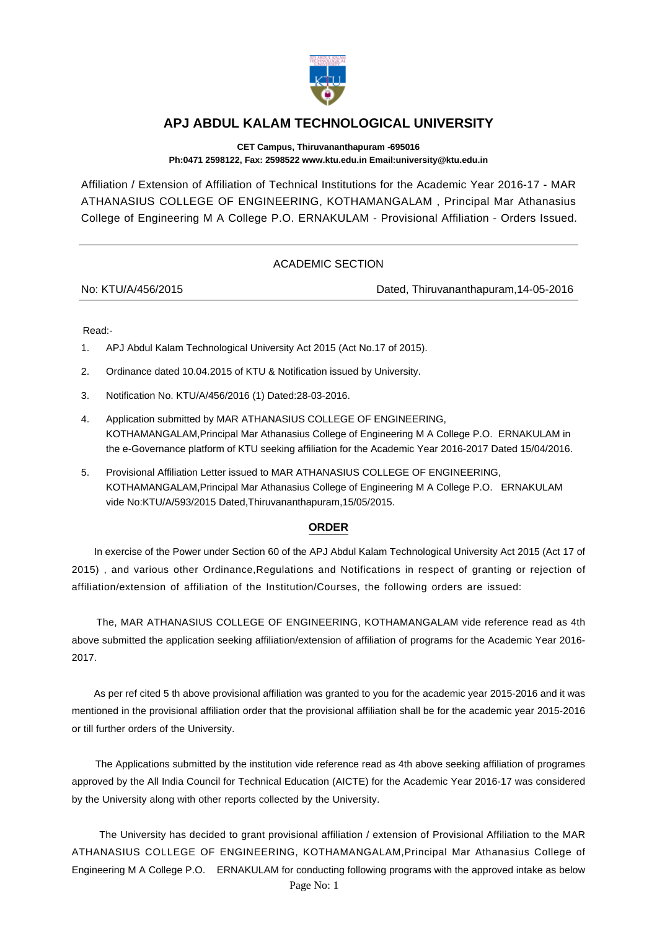

## **APJ ABDUL KALAM TECHNOLOGICAL UNIVERSITY**

**CET Campus, Thiruvananthapuram -695016 Ph:0471 2598122, Fax: 2598522 www.ktu.edu.in Email:university@ktu.edu.in**

Affiliation / Extension of Affiliation of Technical Institutions for the Academic Year 2016-17 - MAR ATHANASIUS COLLEGE OF ENGINEERING, KOTHAMANGALAM , Principal Mar Athanasius College of Engineering M A College P.O. ERNAKULAM - Provisional Affiliation - Orders Issued.

## ACADEMIC SECTION

No: KTU/A/456/2015 Dated, Thiruvananthapuram,14-05-2016

Read:-

- 1. APJ Abdul Kalam Technological University Act 2015 (Act No.17 of 2015).
- 2. Ordinance dated 10.04.2015 of KTU & Notification issued by University.
- 3. Notification No. KTU/A/456/2016 (1) Dated:28-03-2016.
- 4. Application submitted by MAR ATHANASIUS COLLEGE OF ENGINEERING, KOTHAMANGALAM,Principal Mar Athanasius College of Engineering M A College P.O. ERNAKULAM in the e-Governance platform of KTU seeking affiliation for the Academic Year 2016-2017 Dated 15/04/2016.
- 5. Provisional Affiliation Letter issued to MAR ATHANASIUS COLLEGE OF ENGINEERING, KOTHAMANGALAM,Principal Mar Athanasius College of Engineering M A College P.O. ERNAKULAM vide No:KTU/A/593/2015 Dated,Thiruvananthapuram,15/05/2015.

## **ORDER**

 In exercise of the Power under Section 60 of the APJ Abdul Kalam Technological University Act 2015 (Act 17 of 2015) , and various other Ordinance,Regulations and Notifications in respect of granting or rejection of affiliation/extension of affiliation of the Institution/Courses, the following orders are issued:

 The, MAR ATHANASIUS COLLEGE OF ENGINEERING, KOTHAMANGALAM vide reference read as 4th above submitted the application seeking affiliation/extension of affiliation of programs for the Academic Year 2016- 2017.

 As per ref cited 5 th above provisional affiliation was granted to you for the academic year 2015-2016 and it was mentioned in the provisional affiliation order that the provisional affiliation shall be for the academic year 2015-2016 or till further orders of the University.

 The Applications submitted by the institution vide reference read as 4th above seeking affiliation of programes approved by the All India Council for Technical Education (AICTE) for the Academic Year 2016-17 was considered by the University along with other reports collected by the University.

 The University has decided to grant provisional affiliation / extension of Provisional Affiliation to the MAR ATHANASIUS COLLEGE OF ENGINEERING, KOTHAMANGALAM,Principal Mar Athanasius College of Engineering M A College P.O. ERNAKULAM for conducting following programs with the approved intake as below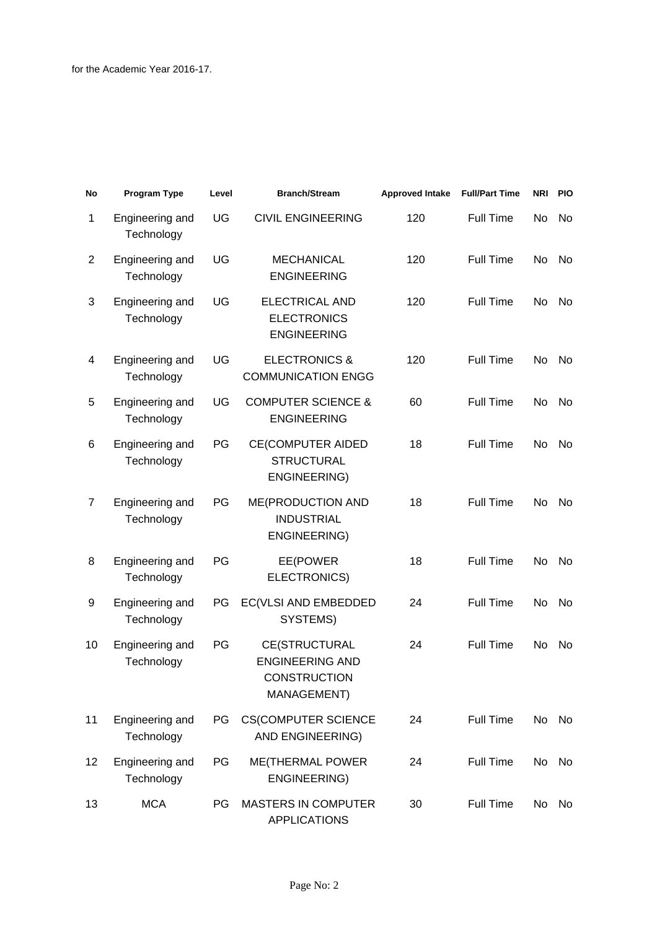| No             | <b>Program Type</b>           | Level | <b>Branch/Stream</b>                                                                 | <b>Approved Intake</b> | <b>Full/Part Time</b> | NRI | <b>PIO</b> |
|----------------|-------------------------------|-------|--------------------------------------------------------------------------------------|------------------------|-----------------------|-----|------------|
| 1              | Engineering and<br>Technology | UG    | <b>CIVIL ENGINEERING</b>                                                             | 120                    | <b>Full Time</b>      | No  | No         |
| $\overline{2}$ | Engineering and<br>Technology | UG    | <b>MECHANICAL</b><br><b>ENGINEERING</b>                                              | 120                    | <b>Full Time</b>      | No  | No.        |
| 3              | Engineering and<br>Technology | UG    | <b>ELECTRICAL AND</b><br><b>ELECTRONICS</b><br><b>ENGINEERING</b>                    | 120                    | <b>Full Time</b>      | No  | No         |
| 4              | Engineering and<br>Technology | UG    | <b>ELECTRONICS &amp;</b><br><b>COMMUNICATION ENGG</b>                                | 120                    | <b>Full Time</b>      | No  | No         |
| 5              | Engineering and<br>Technology | UG    | <b>COMPUTER SCIENCE &amp;</b><br><b>ENGINEERING</b>                                  | 60                     | <b>Full Time</b>      | No  | No.        |
| 6              | Engineering and<br>Technology | PG    | <b>CE(COMPUTER AIDED</b><br><b>STRUCTURAL</b><br>ENGINEERING)                        | 18                     | <b>Full Time</b>      | No  | No.        |
| $\overline{7}$ | Engineering and<br>Technology | PG    | ME(PRODUCTION AND<br><b>INDUSTRIAL</b><br>ENGINEERING)                               | 18                     | Full Time             | No  | No         |
| 8              | Engineering and<br>Technology | PG    | EE(POWER<br>ELECTRONICS)                                                             | 18                     | <b>Full Time</b>      | No  | No.        |
| 9              | Engineering and<br>Technology | PG    | EC(VLSI AND EMBEDDED<br>SYSTEMS)                                                     | 24                     | <b>Full Time</b>      | No  | No.        |
| 10             | Engineering and<br>Technology | PG    | <b>CE(STRUCTURAL</b><br><b>ENGINEERING AND</b><br><b>CONSTRUCTION</b><br>MANAGEMENT) | 24                     | <b>Full Time</b>      | No  | No         |
| 11             | Engineering and<br>Technology | PG    | <b>CS(COMPUTER SCIENCE</b><br>AND ENGINEERING)                                       | 24                     | Full Time             | No  | No         |
| 12             | Engineering and<br>Technology | PG    | ME(THERMAL POWER<br>ENGINEERING)                                                     | 24                     | Full Time             | No  | No         |
| 13             | <b>MCA</b>                    | PG.   | <b>MASTERS IN COMPUTER</b><br><b>APPLICATIONS</b>                                    | 30                     | <b>Full Time</b>      | No  | No         |